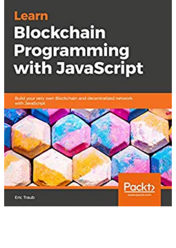## Learn **Blockchain Programming** with JavaScript

Build your very own Blockchain and decentralized network with JavaScript

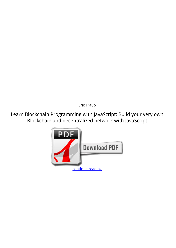*Eric Traub*

**Learn Blockchain Programming with JavaScript: Build your very own Blockchain and decentralized network with JavaScript**

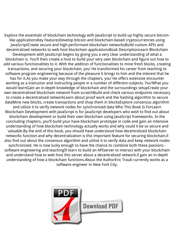Explore the essentials of blockchain technology with JavaScript to build up highly secure bitcoinlike applicationsKey FeaturesDevelop bitcoin and blockchain-based cryptocurrencies using JavaScriptCreate secure and high-performant blockchain networksBuild custom APIs and decentralized networks to web host blockchain applicationsBook DescriptionLearn Blockchain Development with JavaScript begins by giving you a very clear understanding of what a blockchain is. You'll then create a host to build your very own blockchain and figure out how to add various functionalities to it. With the addition of functionalities to mine fresh blocks, creating transactions, and securing your blockchain, you' He transformed his career from teaching to software program engineering because of the pleasure it brings to him and the interest that he has for it.As you make your way through the chapters, you' He offers extensive encounter working as a instructor and instructing people in a number of different subjects. You'What you would learnGain an in-depth knowledge of blockchain and the surroundings setupCreate your own decentralized blockchain network from scratchBuild and check various endpoints necessary to create a decentralized networkLearn about proof work and the hashing algorithm to secure dataMine new blocks, create transactions and shop them in blocksExplore consensus algorithm and utilize it to verify network nodes for synchronized data Who This Book Is ForLearn Blockchain Development with JavaScript is for JavaScript developers who wish to find out about blockchain development or build their own blockchain using JavaScript frameworks. In the concluding chapters, you'll build your have blockchain prototype in code and gain an intensive understanding of how blockchain technology actually works and why could it be so secure and valuable.By the end of this book, you should have understood how decentralized blockchain networks function and why decentralization is this important feature for securing blockchain.ll also find out about the consensus algorithm and utilize it to verify data and keep network nodes synchronized. He is now lucky enough to have the chance to combine both these passions software engineering and teaching!ll learn to build an APIserver to interact with your blockchain and understand how to web host this server about a decentralized network.ll gain an in-depth understanding of how a blockchain functions.About the AuthorEric Traub currently works as a software engineer in New York City.